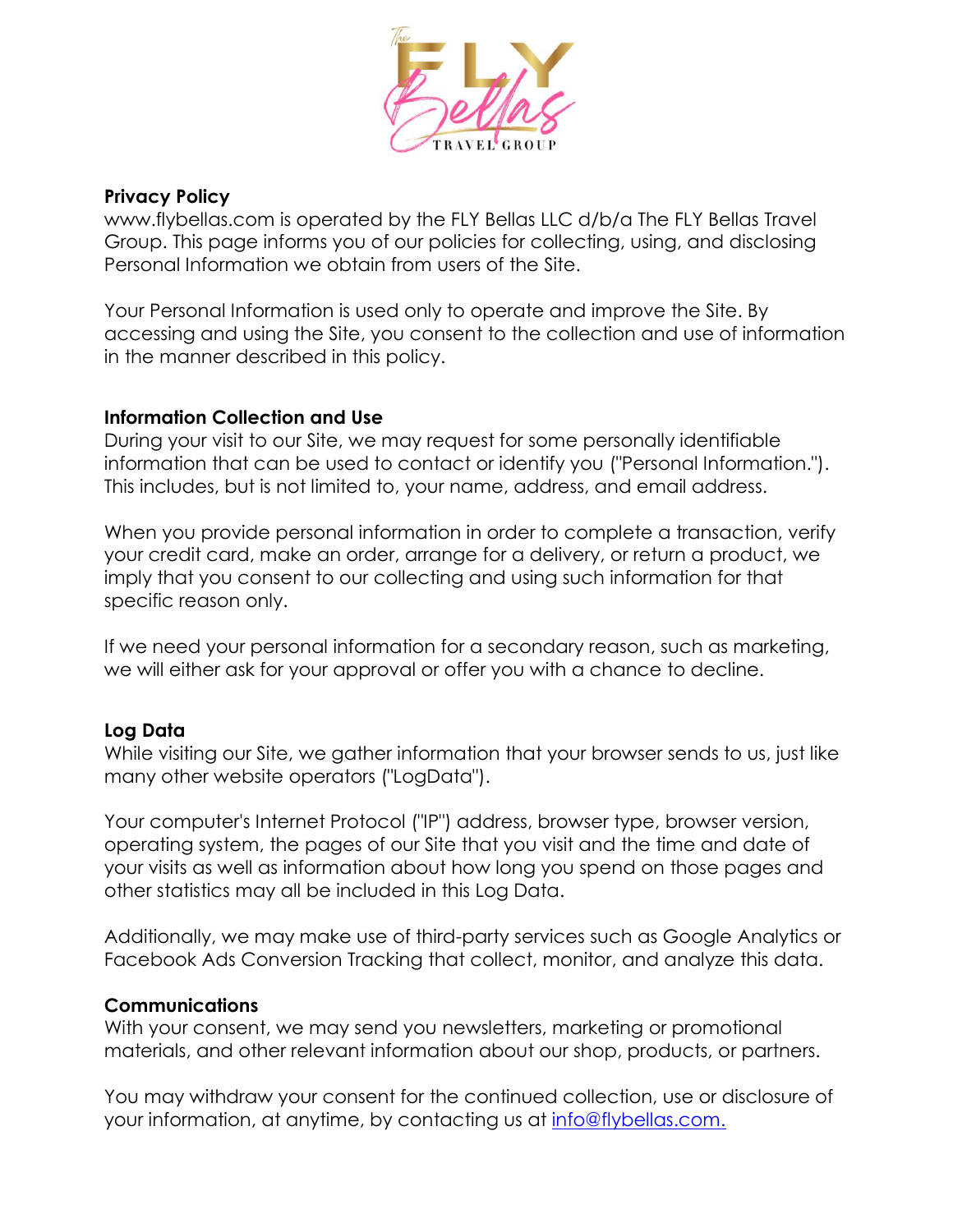

## **Privacy Policy**

[www.flybellas.com](http://www.flybellas.com/) is operated by the FLY Bellas LLC d/b/a The FLY Bellas Travel Group. This page informs you of our policies for collecting, using, and disclosing Personal Information we obtain from users of the Site.

Your Personal Information is used only to operate and improve the Site. By accessing and using the Site, you consent to the collection and use of information in the manner described in this policy.

## **Information Collection and Use**

During your visit to our Site, we may request for some personally identifiable information that can be used to contact or identify you ("Personal Information."). This includes, but is not limited to, your name, address, and email address.

When you provide personal information in order to complete a transaction, verify your credit card, make an order, arrange for a delivery, or return a product, we imply that you consent to our collecting and using such information for that specific reason only.

If we need your personal information for a secondary reason, such as marketing, we will either ask for your approval or offer you with a chance to decline.

## **Log Data**

While visiting our Site, we gather information that your browser sends to us, just like many other website operators ("LogData").

Your computer's Internet Protocol ("IP") address, browser type, browser version, operating system, the pages of our Site that you visit and the time and date of your visits as well as information about how long you spend on those pages and other statistics may all be included in this Log Data.

Additionally, we may make use of third-party services such as Google Analytics or Facebook Ads Conversion Tracking that collect, monitor, and analyze this data.

## **Communications**

With your consent, we may send you newsletters, marketing or promotional materials, and other relevant information about our shop, products, or partners.

You may withdraw your consent for the continued collection, use or disclosure of your information, at anytime, by contacting us at [info@flybellas.com.](mailto:info@flybellas.com.)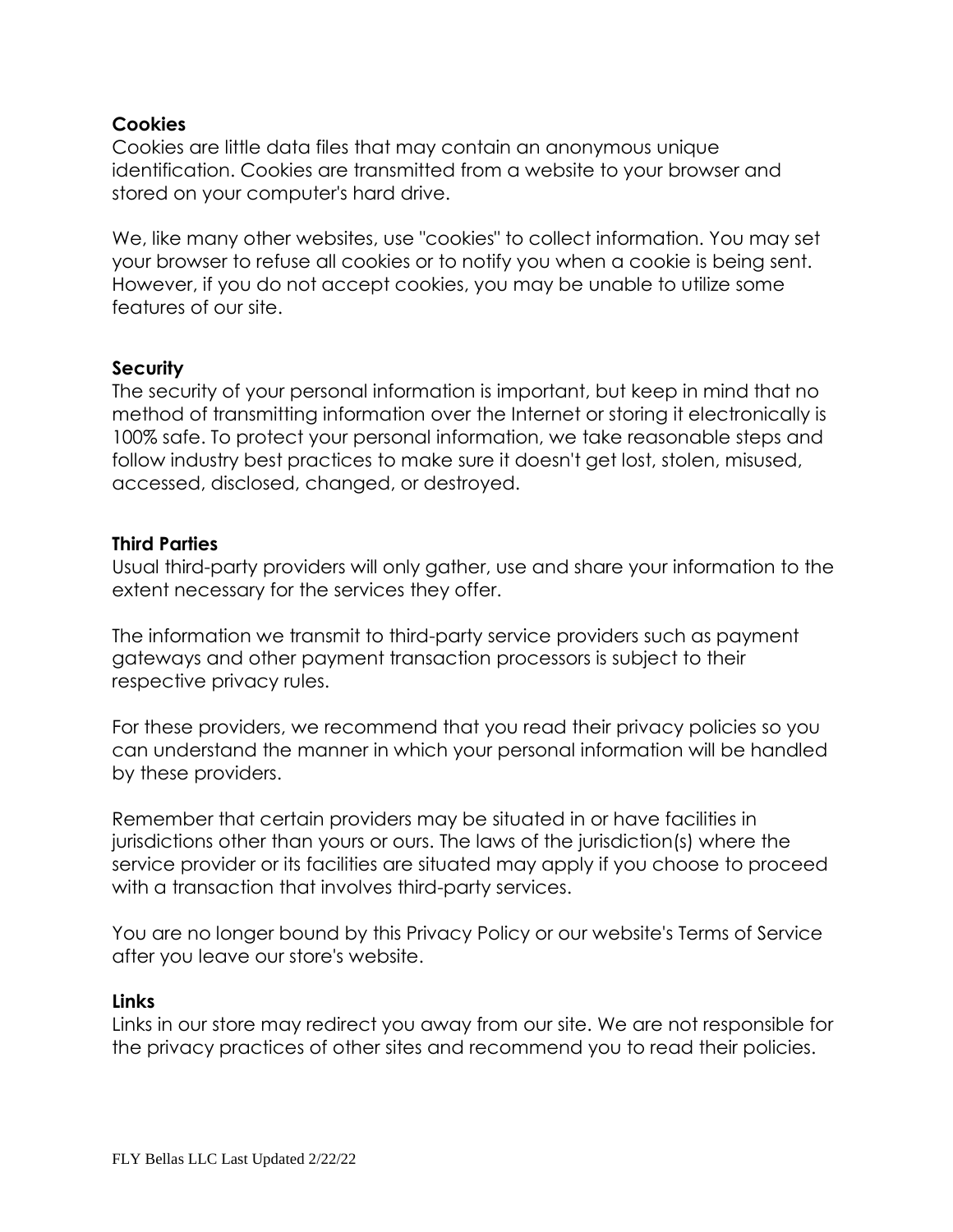# **Cookies**

Cookies are little data files that may contain an anonymous unique identification. Cookies are transmitted from a website to your browser and stored on your computer's hard drive.

We, like many other websites, use "cookies" to collect information. You may set your browser to refuse all cookies or to notify you when a cookie is being sent. However, if you do not accept cookies, you may be unable to utilize some features of our site.

### **Security**

The security of your personal information is important, but keep in mind that no method of transmitting information over the Internet or storing it electronically is 100% safe. To protect your personal information, we take reasonable steps and follow industry best practices to make sure it doesn't get lost, stolen, misused, accessed, disclosed, changed, or destroyed.

#### **Third Parties**

Usual third-party providers will only gather, use and share your information to the extent necessary for the services they offer.

The information we transmit to third-party service providers such as payment gateways and other payment transaction processors is subject to their respective privacy rules.

For these providers, we recommend that you read their privacy policies so you can understand the manner in which your personal information will be handled by these providers.

Remember that certain providers may be situated in or have facilities in jurisdictions other than yours or ours. The laws of the jurisdiction(s) where the service provider or its facilities are situated may apply if you choose to proceed with a transaction that involves third-party services.

You are no longer bound by this Privacy Policy or our website's Terms of Service after you leave our store's website.

#### **Links**

Links in our store may redirect you away from our site. We are not responsible for the privacy practices of other sites and recommend you to read their policies.